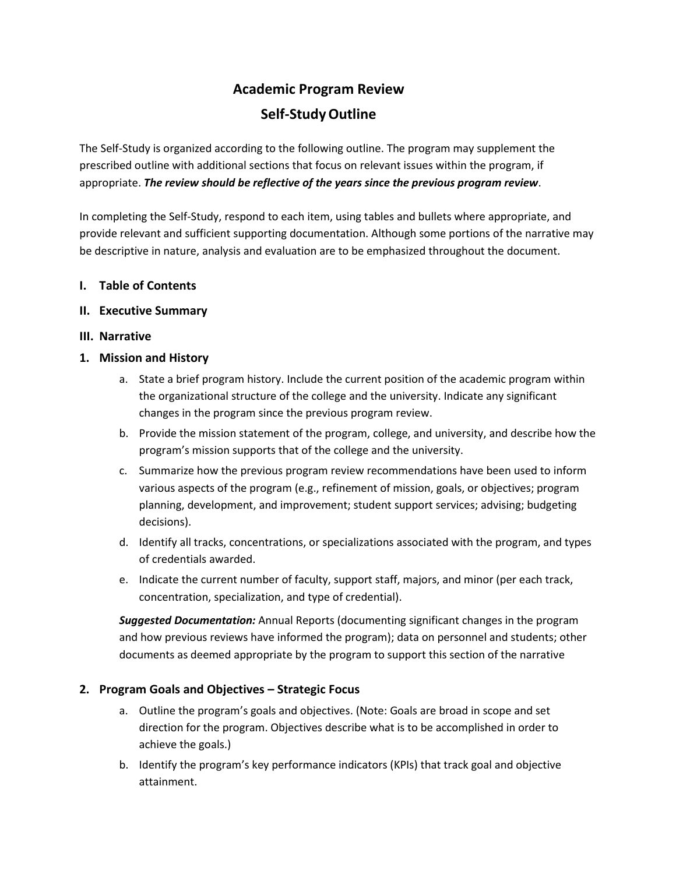# **Academic Program Review Self-StudyOutline**

The Self-Study is organized according to the following outline. The program may supplement the prescribed outline with additional sections that focus on relevant issues within the program, if appropriate. *The review should be reflective of the years since the previous program review*.

In completing the Self-Study, respond to each item, using tables and bullets where appropriate, and provide relevant and sufficient supporting documentation. Although some portions of the narrative may be descriptive in nature, analysis and evaluation are to be emphasized throughout the document.

# **I. Table of Contents**

#### **II. Executive Summary**

#### **III. Narrative**

# **1. Mission and History**

- a. State a brief program history. Include the current position of the academic program within the organizational structure of the college and the university. Indicate any significant changes in the program since the previous program review.
- b. Provide the mission statement of the program, college, and university, and describe how the program's mission supports that of the college and the university.
- c. Summarize how the previous program review recommendations have been used to inform various aspects of the program (e.g., refinement of mission, goals, or objectives; program planning, development, and improvement; student support services; advising; budgeting decisions).
- d. Identify all tracks, concentrations, or specializations associated with the program, and types of credentials awarded.
- e. Indicate the current number of faculty, support staff, majors, and minor (per each track, concentration, specialization, and type of credential).

*Suggested Documentation:* Annual Reports (documenting significant changes in the program and how previous reviews have informed the program); data on personnel and students; other documents as deemed appropriate by the program to support this section of the narrative

# **2. Program Goals and Objectives – Strategic Focus**

- a. Outline the program's goals and objectives. (Note: Goals are broad in scope and set direction for the program. Objectives describe what is to be accomplished in order to achieve the goals.)
- b. Identify the program's key performance indicators (KPIs) that track goal and objective attainment.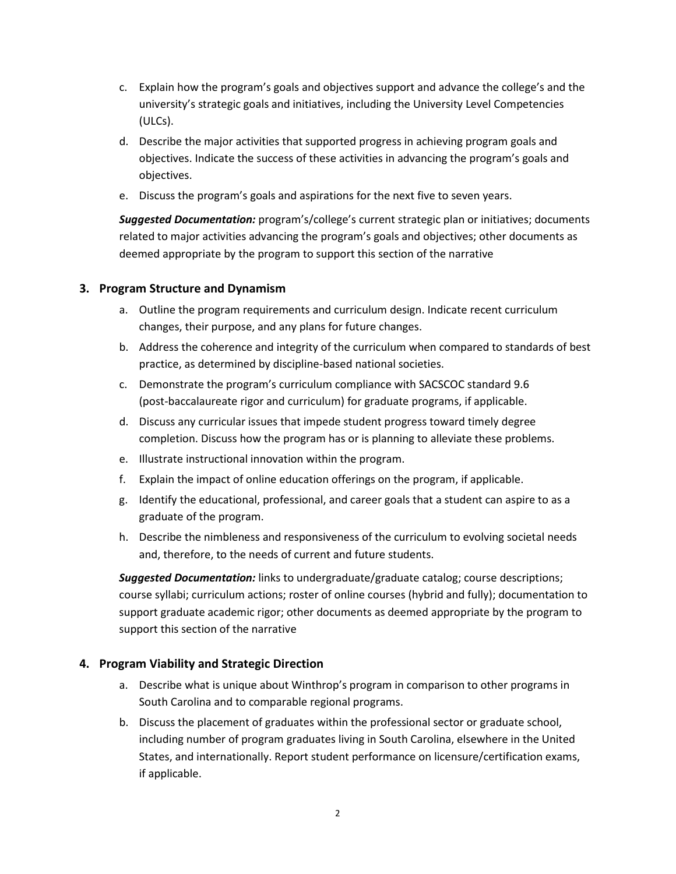- c. Explain how the program's goals and objectives support and advance the college's and the university's strategic goals and initiatives, including the University Level Competencies (ULCs).
- d. Describe the major activities that supported progress in achieving program goals and objectives. Indicate the success of these activities in advancing the program's goals and objectives.
- e. Discuss the program's goals and aspirations for the next five to seven years.

*Suggested Documentation:* program's/college's current strategic plan or initiatives; documents related to major activities advancing the program's goals and objectives; other documents as deemed appropriate by the program to support this section of the narrative

#### **3. Program Structure and Dynamism**

- a. Outline the program requirements and curriculum design. Indicate recent curriculum changes, their purpose, and any plans for future changes.
- b. Address the coherence and integrity of the curriculum when compared to standards of best practice, as determined by discipline-based national societies.
- c. Demonstrate the program's curriculum compliance with SACSCOC standard 9.6 (post-baccalaureate rigor and curriculum) for graduate programs, if applicable.
- d. Discuss any curricular issues that impede student progress toward timely degree completion. Discuss how the program has or is planning to alleviate these problems.
- e. Illustrate instructional innovation within the program.
- f. Explain the impact of online education offerings on the program, if applicable.
- g. Identify the educational, professional, and career goals that a student can aspire to as a graduate of the program.
- h. Describe the nimbleness and responsiveness of the curriculum to evolving societal needs and, therefore, to the needs of current and future students.

*Suggested Documentation:* links to undergraduate/graduate catalog; course descriptions; course syllabi; curriculum actions; roster of online courses (hybrid and fully); documentation to support graduate academic rigor; other documents as deemed appropriate by the program to support this section of the narrative

# **4. Program Viability and Strategic Direction**

- a. Describe what is unique about Winthrop's program in comparison to other programs in South Carolina and to comparable regional programs.
- b. Discuss the placement of graduates within the professional sector or graduate school, including number of program graduates living in South Carolina, elsewhere in the United States, and internationally. Report student performance on licensure/certification exams, if applicable.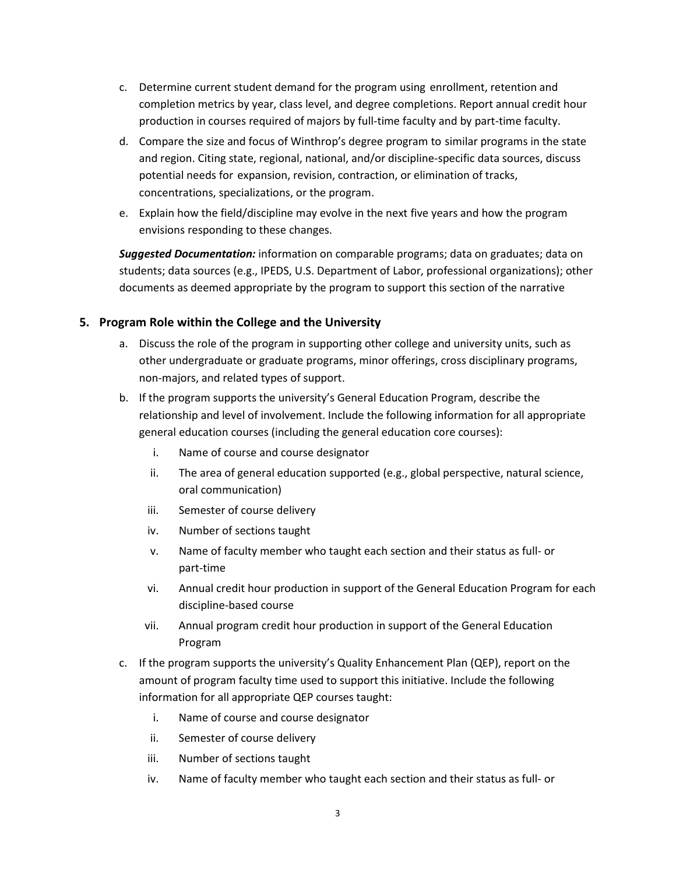- c. Determine current student demand for the program using enrollment, retention and completion metrics by year, class level, and degree completions. Report annual credit hour production in courses required of majors by full-time faculty and by part-time faculty.
- d. Compare the size and focus of Winthrop's degree program to similar programs in the state and region. Citing state, regional, national, and/or discipline-specific data sources, discuss potential needs for expansion, revision, contraction, or elimination of tracks, concentrations, specializations, or the program.
- e. Explain how the field/discipline may evolve in the next five years and how the program envisions responding to these changes.

*Suggested Documentation:* information on comparable programs; data on graduates; data on students; data sources (e.g., IPEDS, U.S. Department of Labor, professional organizations); other documents as deemed appropriate by the program to support this section of the narrative

# **5. Program Role within the College and the University**

- a. Discuss the role of the program in supporting other college and university units, such as other undergraduate or graduate programs, minor offerings, cross disciplinary programs, non-majors, and related types of support.
- b. If the program supports the university's General Education Program, describe the relationship and level of involvement. Include the following information for all appropriate general education courses (including the general education core courses):
	- i. Name of course and course designator
	- ii. The area of general education supported (e.g., global perspective, natural science, oral communication)
	- iii. Semester of course delivery
	- iv. Number of sections taught
	- v. Name of faculty member who taught each section and their status as full- or part-time
	- vi. Annual credit hour production in support of the General Education Program for each discipline-based course
	- vii. Annual program credit hour production in support of the General Education Program
- c. If the program supports the university's Quality Enhancement Plan (QEP), report on the amount of program faculty time used to support this initiative. Include the following information for all appropriate QEP courses taught:
	- i. Name of course and course designator
	- ii. Semester of course delivery
	- iii. Number of sections taught
	- iv. Name of faculty member who taught each section and their status as full- or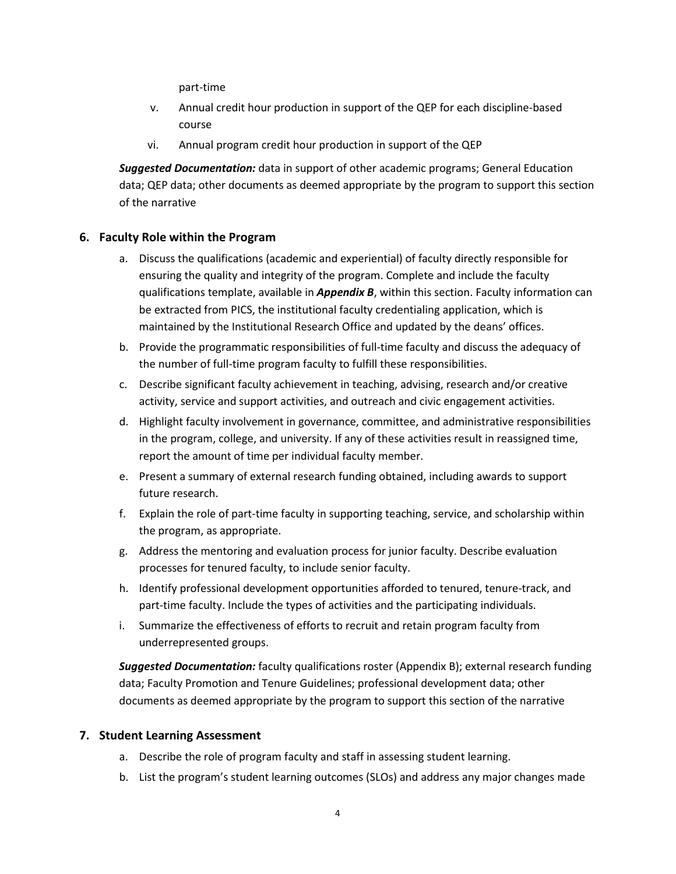part-time

- v. Annual credit hour production in support of the QEP for each discipline-based course
- vi. Annual program credit hour production in support of the QEP

*Suggested Documentation:* data in support of other academic programs; General Education data; QEP data; other documents as deemed appropriate by the program to support this section of the narrative

#### **6. Faculty Role within the Program**

- a. Discuss the qualifications (academic and experiential) of faculty directly responsible for ensuring the quality and integrity of the program. Complete and include the faculty qualifications template, available in *Appendix B*, within this section. Faculty information can be extracted from PICS, the institutional faculty credentialing application, which is maintained by the Institutional Research Office and updated by the deans' offices.
- b. Provide the programmatic responsibilities of full-time faculty and discuss the adequacy of the number of full-time program faculty to fulfill these responsibilities.
- c. Describe significant faculty achievement in teaching, advising, research and/or creative activity, service and support activities, and outreach and civic engagement activities.
- d. Highlight faculty involvement in governance, committee, and administrative responsibilities in the program, college, and university. If any of these activities result in reassigned time, report the amount of time per individual faculty member.
- e. Present a summary of external research funding obtained, including awards to support future research.
- f. Explain the role of part-time faculty in supporting teaching, service, and scholarship within the program, as appropriate.
- g. Address the mentoring and evaluation process for junior faculty. Describe evaluation processes for tenured faculty, to include senior faculty.
- h. Identify professional development opportunities afforded to tenured, tenure-track, and part-time faculty. Include the types of activities and the participating individuals.
- i. Summarize the effectiveness of efforts to recruit and retain program faculty from underrepresented groups.

*Suggested Documentation:* faculty qualifications roster (Appendix B); external research funding data; Faculty Promotion and Tenure Guidelines; professional development data; other documents as deemed appropriate by the program to support this section of the narrative

#### **7. Student Learning Assessment**

- a. Describe the role of program faculty and staff in assessing student learning.
- b. List the program's student learning outcomes (SLOs) and address any major changes made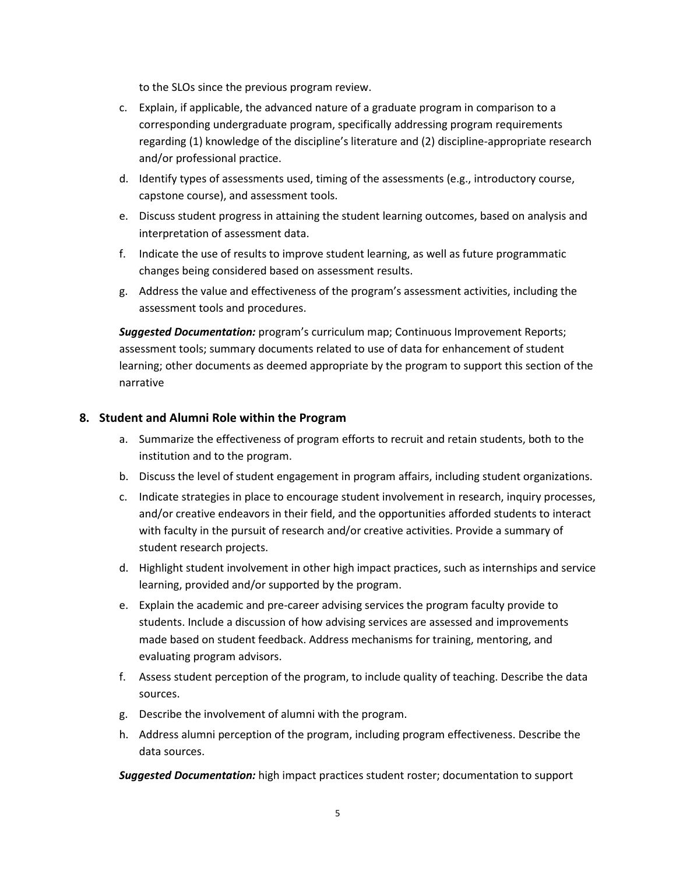to the SLOs since the previous program review.

- c. Explain, if applicable, the advanced nature of a graduate program in comparison to a corresponding undergraduate program, specifically addressing program requirements regarding (1) knowledge of the discipline's literature and (2) discipline-appropriate research and/or professional practice.
- d. Identify types of assessments used, timing of the assessments (e.g., introductory course, capstone course), and assessment tools.
- e. Discuss student progress in attaining the student learning outcomes, based on analysis and interpretation of assessment data.
- f. Indicate the use of results to improve student learning, as well as future programmatic changes being considered based on assessment results.
- g. Address the value and effectiveness of the program's assessment activities, including the assessment tools and procedures.

*Suggested Documentation:* program's curriculum map; Continuous Improvement Reports; assessment tools; summary documents related to use of data for enhancement of student learning; other documents as deemed appropriate by the program to support this section of the narrative

#### **8. Student and Alumni Role within the Program**

- a. Summarize the effectiveness of program efforts to recruit and retain students, both to the institution and to the program.
- b. Discuss the level of student engagement in program affairs, including student organizations.
- c. Indicate strategies in place to encourage student involvement in research, inquiry processes, and/or creative endeavors in their field, and the opportunities afforded students to interact with faculty in the pursuit of research and/or creative activities. Provide a summary of student research projects.
- d. Highlight student involvement in other high impact practices, such as internships and service learning, provided and/or supported by the program.
- e. Explain the academic and pre-career advising services the program faculty provide to students. Include a discussion of how advising services are assessed and improvements made based on student feedback. Address mechanisms for training, mentoring, and evaluating program advisors.
- f. Assess student perception of the program, to include quality of teaching. Describe the data sources.
- g. Describe the involvement of alumni with the program.
- h. Address alumni perception of the program, including program effectiveness. Describe the data sources.

*Suggested Documentation:* high impact practices student roster; documentation to support